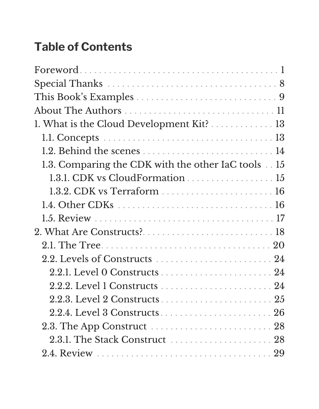## **Table of Contents**

| $\texttt{Forward} \dots \dots \dots \dots \dots \dots \dots \dots \dots \dots \dots \dots \dots \dots \dots \dots \dots$ |
|--------------------------------------------------------------------------------------------------------------------------|
|                                                                                                                          |
|                                                                                                                          |
|                                                                                                                          |
| 1. What is the Cloud Development Kit? 13                                                                                 |
|                                                                                                                          |
| 1.2. Behind the scenes  14                                                                                               |
| 1.3. Comparing the CDK with the other IaC tools  15                                                                      |
| 1.3.1. CDK vs CloudFormation 15                                                                                          |
|                                                                                                                          |
|                                                                                                                          |
|                                                                                                                          |
|                                                                                                                          |
|                                                                                                                          |
|                                                                                                                          |
|                                                                                                                          |
|                                                                                                                          |
|                                                                                                                          |
|                                                                                                                          |
|                                                                                                                          |
| 2.3.1. The Stack Construct  28                                                                                           |
|                                                                                                                          |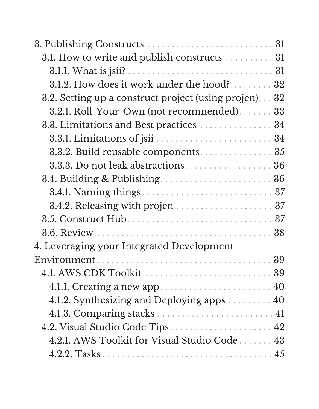| 3.1. How to write and publish constructs  31          |  |
|-------------------------------------------------------|--|
|                                                       |  |
| 3.1.2. How does it work under the hood?  32           |  |
| 3.2. Setting up a construct project (using projen) 32 |  |
| 3.2.1. Roll-Your-Own (not recommended) 33             |  |
| 3.3. Limitations and Best practices 34                |  |
|                                                       |  |
| 3.3.2. Build reusable components 35                   |  |
| 3.3.3. Do not leak abstractions. 36                   |  |
| 3.4. Building & Publishing 36                         |  |
|                                                       |  |
|                                                       |  |
|                                                       |  |
|                                                       |  |
| 4. Leveraging your Integrated Development             |  |
|                                                       |  |
|                                                       |  |
|                                                       |  |
| 4.1.2. Synthesizing and Deploying apps 40             |  |
|                                                       |  |
| 4.2. Visual Studio Code Tips  42                      |  |
| 4.2.1. AWS Toolkit for Visual Studio Code 43          |  |
|                                                       |  |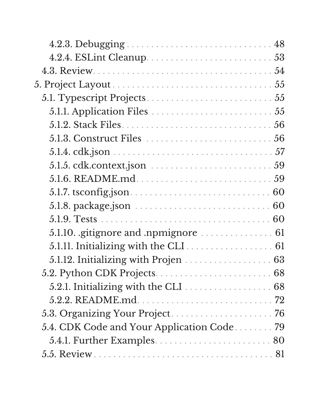| $5.1.5.$ cdk.context.json $\ldots \ldots \ldots \ldots \ldots \ldots \ldots 59$ |
|---------------------------------------------------------------------------------|
|                                                                                 |
|                                                                                 |
|                                                                                 |
|                                                                                 |
|                                                                                 |
| 5.1.11. Initializing with the CLI 61                                            |
| 5.1.12. Initializing with Projen 63                                             |
|                                                                                 |
| 5.2.1. Initializing with the CLI 68                                             |
|                                                                                 |
|                                                                                 |
| 5.4. CDK Code and Your Application Code 79                                      |
|                                                                                 |
|                                                                                 |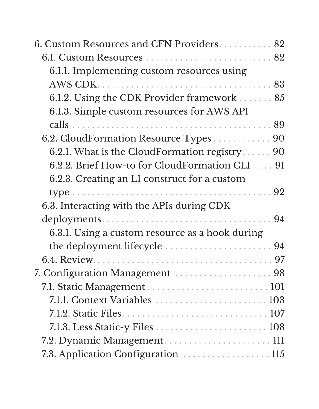| 6. Custom Resources and CFN Providers 82        |
|-------------------------------------------------|
|                                                 |
| 6.1.1. Implementing custom resources using      |
|                                                 |
| 6.1.2. Using the CDK Provider framework  85     |
| 6.1.3. Simple custom resources for AWS API      |
|                                                 |
| 6.2. CloudFormation Resource Types 90           |
| 6.2.1. What is the CloudFormation registry 90   |
| 6.2.2. Brief How-to for CloudFormation CLI 91   |
| 6.2.3. Creating an L1 construct for a custom    |
|                                                 |
| 6.3. Interacting with the APIs during CDK       |
|                                                 |
| 6.3.1. Using a custom resource as a hook during |
|                                                 |
|                                                 |
| 7. Configuration Management  98                 |
|                                                 |
|                                                 |
|                                                 |
|                                                 |
|                                                 |
| 7.3. Application Configuration  115             |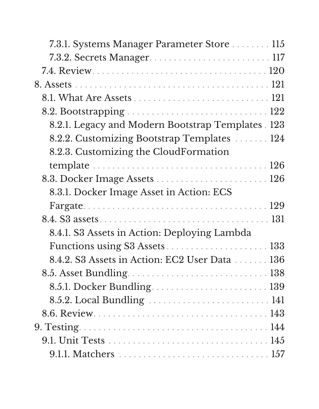| 7.3.1. Systems Manager Parameter Store 115         |
|----------------------------------------------------|
|                                                    |
|                                                    |
|                                                    |
|                                                    |
|                                                    |
| 8.2.1. Legacy and Modern Bootstrap Templates . 123 |
| 8.2.2. Customizing Bootstrap Templates 124         |
| 8.2.3. Customizing the CloudFormation              |
|                                                    |
|                                                    |
| 8.3.1. Docker Image Asset in Action: ECS           |
|                                                    |
|                                                    |
| 8.4.1. S3 Assets in Action: Deploying Lambda       |
|                                                    |
| 8.4.2. S3 Assets in Action: EC2 User Data 136      |
|                                                    |
| 8.5.1. Docker Bundling 139                         |
|                                                    |
|                                                    |
|                                                    |
|                                                    |
|                                                    |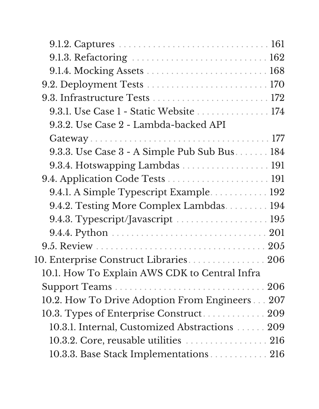| 9.1.3. Refactoring  162                        |  |
|------------------------------------------------|--|
|                                                |  |
|                                                |  |
|                                                |  |
| 9.3.1. Use Case 1 - Static Website 174         |  |
| 9.3.2. Use Case 2 - Lambda-backed API          |  |
|                                                |  |
| 9.3.3. Use Case 3 - A Simple Pub Sub Bus 184   |  |
| 9.3.4. Hotswapping Lambdas 191                 |  |
|                                                |  |
| 9.4.1. A Simple Typescript Example 192         |  |
| 9.4.2. Testing More Complex Lambdas. 194       |  |
|                                                |  |
|                                                |  |
|                                                |  |
| 10. Enterprise Construct Libraries. 206        |  |
| 10.1. How To Explain AWS CDK to Central Infra  |  |
|                                                |  |
| 10.2. How To Drive Adoption From Engineers 207 |  |
| 10.3. Types of Enterprise Construct 209        |  |
| 10.3.1. Internal, Customized Abstractions 209  |  |
| 10.3.2. Core, reusable utilities 216           |  |
| 10.3.3. Base Stack Implementations 216         |  |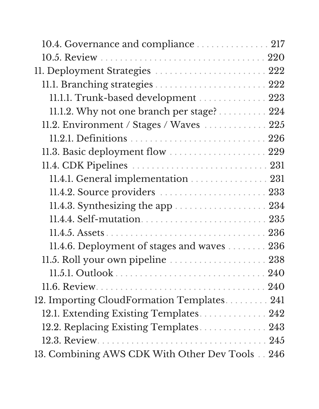| 10.4. Governance and compliance 217            |  |
|------------------------------------------------|--|
|                                                |  |
| 11. Deployment Strategies  222                 |  |
|                                                |  |
| 11.1.1. Trunk-based development  223           |  |
| 11.1.2. Why not one branch per stage? 224      |  |
| 11.2. Environment / Stages / Waves 225         |  |
|                                                |  |
| 11.3. Basic deployment flow  229               |  |
|                                                |  |
| 11.4.1. General implementation 231             |  |
| 11.4.2. Source providers  233                  |  |
|                                                |  |
|                                                |  |
|                                                |  |
| 11.4.6. Deployment of stages and waves 236     |  |
| 11.5. Roll your own pipeline  238              |  |
|                                                |  |
|                                                |  |
| 12. Importing CloudFormation Templates 241     |  |
| 12.1. Extending Existing Templates. 242        |  |
| 12.2. Replacing Existing Templates 243         |  |
|                                                |  |
| 13. Combining AWS CDK With Other Dev Tools 246 |  |